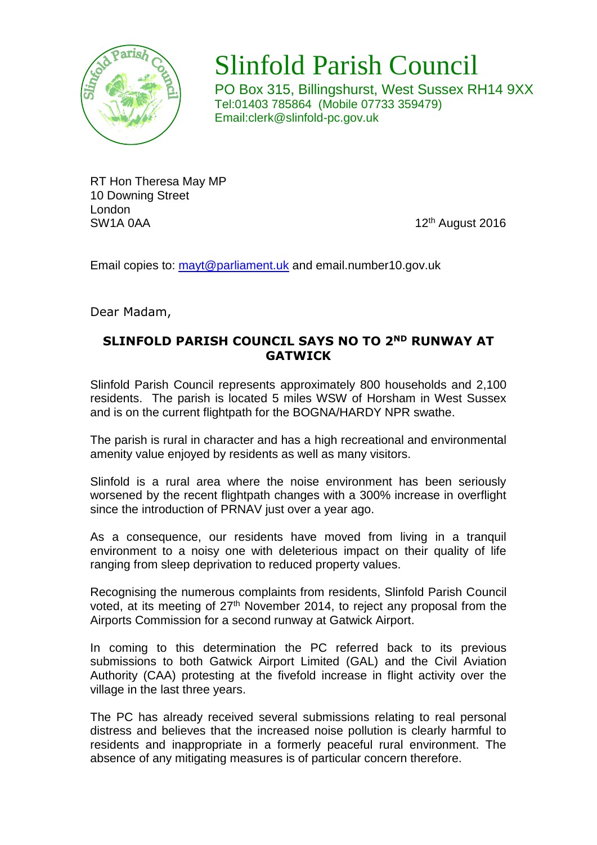

## Slinfold Parish Council

PO Box 315, Billingshurst, West Sussex RH14 9XX Tel:01403 785864 (Mobile 07733 359479) Email:clerk@slinfold-pc.gov.uk

RT Hon Theresa May MP 10 Downing Street London SW1A 0AA 12<sup>th</sup> August 2016

Email copies to: [mayt@parliament.uk](mailto:mayt@parliament.uk) and email.number10.gov.uk

Dear Madam,

## **SLINFOLD PARISH COUNCIL SAYS NO TO 2ND RUNWAY AT GATWICK**

Slinfold Parish Council represents approximately 800 households and 2,100 residents. The parish is located 5 miles WSW of Horsham in West Sussex and is on the current flightpath for the BOGNA/HARDY NPR swathe.

The parish is rural in character and has a high recreational and environmental amenity value enjoyed by residents as well as many visitors.

Slinfold is a rural area where the noise environment has been seriously worsened by the recent flightpath changes with a 300% increase in overflight since the introduction of PRNAV just over a year ago.

As a consequence, our residents have moved from living in a tranquil environment to a noisy one with deleterious impact on their quality of life ranging from sleep deprivation to reduced property values.

Recognising the numerous complaints from residents, Slinfold Parish Council voted, at its meeting of 27<sup>th</sup> November 2014, to reject any proposal from the Airports Commission for a second runway at Gatwick Airport.

In coming to this determination the PC referred back to its previous submissions to both Gatwick Airport Limited (GAL) and the Civil Aviation Authority (CAA) protesting at the fivefold increase in flight activity over the village in the last three years.

The PC has already received several submissions relating to real personal distress and believes that the increased noise pollution is clearly harmful to residents and inappropriate in a formerly peaceful rural environment. The absence of any mitigating measures is of particular concern therefore.